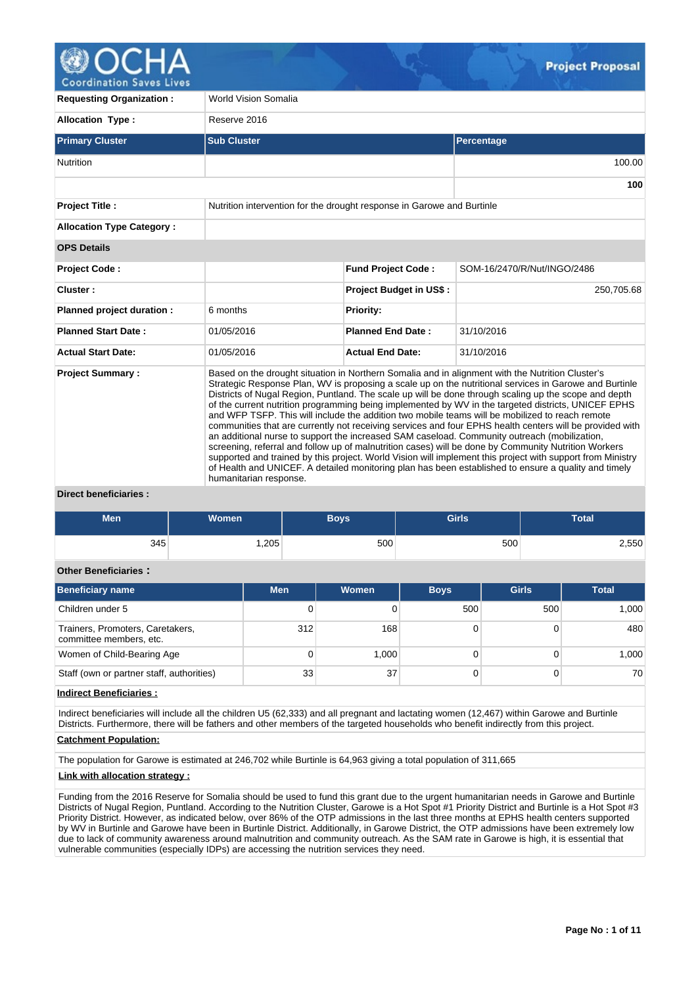

**Coordination Saves Lives** 

| <b>Requesting Organization:</b>                  | <b>World Vision Somalia</b>                                            |                                |                                                                                                                                                                                                                                                                                                                                                                                                                                                                                                                                                                                                                                                                                                                                                                                                                                                                                                                                                                                                                                                                         |
|--------------------------------------------------|------------------------------------------------------------------------|--------------------------------|-------------------------------------------------------------------------------------------------------------------------------------------------------------------------------------------------------------------------------------------------------------------------------------------------------------------------------------------------------------------------------------------------------------------------------------------------------------------------------------------------------------------------------------------------------------------------------------------------------------------------------------------------------------------------------------------------------------------------------------------------------------------------------------------------------------------------------------------------------------------------------------------------------------------------------------------------------------------------------------------------------------------------------------------------------------------------|
| <b>Allocation Type:</b>                          | Reserve 2016                                                           |                                |                                                                                                                                                                                                                                                                                                                                                                                                                                                                                                                                                                                                                                                                                                                                                                                                                                                                                                                                                                                                                                                                         |
| <b>Primary Cluster</b>                           | <b>Sub Cluster</b>                                                     |                                | Percentage                                                                                                                                                                                                                                                                                                                                                                                                                                                                                                                                                                                                                                                                                                                                                                                                                                                                                                                                                                                                                                                              |
| Nutrition                                        |                                                                        |                                | 100.00                                                                                                                                                                                                                                                                                                                                                                                                                                                                                                                                                                                                                                                                                                                                                                                                                                                                                                                                                                                                                                                                  |
|                                                  |                                                                        |                                | 100                                                                                                                                                                                                                                                                                                                                                                                                                                                                                                                                                                                                                                                                                                                                                                                                                                                                                                                                                                                                                                                                     |
| <b>Project Title:</b>                            | Nutrition intervention for the drought response in Garowe and Burtinle |                                |                                                                                                                                                                                                                                                                                                                                                                                                                                                                                                                                                                                                                                                                                                                                                                                                                                                                                                                                                                                                                                                                         |
| <b>Allocation Type Category:</b>                 |                                                                        |                                |                                                                                                                                                                                                                                                                                                                                                                                                                                                                                                                                                                                                                                                                                                                                                                                                                                                                                                                                                                                                                                                                         |
| <b>OPS Details</b>                               |                                                                        |                                |                                                                                                                                                                                                                                                                                                                                                                                                                                                                                                                                                                                                                                                                                                                                                                                                                                                                                                                                                                                                                                                                         |
| <b>Project Code:</b>                             |                                                                        | <b>Fund Project Code:</b>      | SOM-16/2470/R/Nut/INGO/2486                                                                                                                                                                                                                                                                                                                                                                                                                                                                                                                                                                                                                                                                                                                                                                                                                                                                                                                                                                                                                                             |
| Cluster:                                         |                                                                        | <b>Project Budget in US\$:</b> | 250,705.68                                                                                                                                                                                                                                                                                                                                                                                                                                                                                                                                                                                                                                                                                                                                                                                                                                                                                                                                                                                                                                                              |
| Planned project duration :                       | 6 months                                                               | <b>Priority:</b>               |                                                                                                                                                                                                                                                                                                                                                                                                                                                                                                                                                                                                                                                                                                                                                                                                                                                                                                                                                                                                                                                                         |
| <b>Planned Start Date:</b>                       | 01/05/2016                                                             | <b>Planned End Date:</b>       | 31/10/2016                                                                                                                                                                                                                                                                                                                                                                                                                                                                                                                                                                                                                                                                                                                                                                                                                                                                                                                                                                                                                                                              |
| <b>Actual Start Date:</b>                        | 01/05/2016                                                             | <b>Actual End Date:</b>        | 31/10/2016                                                                                                                                                                                                                                                                                                                                                                                                                                                                                                                                                                                                                                                                                                                                                                                                                                                                                                                                                                                                                                                              |
| <b>Project Summary:</b><br>Divant honoficiarion. | humanitarian response.                                                 |                                | Based on the drought situation in Northern Somalia and in alignment with the Nutrition Cluster's<br>Strategic Response Plan, WV is proposing a scale up on the nutritional services in Garowe and Burtinle<br>Districts of Nugal Region, Puntland. The scale up will be done through scaling up the scope and depth<br>of the current nutrition programming being implemented by WV in the targeted districts, UNICEF EPHS<br>and WFP TSFP. This will include the addition two mobile teams will be mobilized to reach remote<br>communities that are currently not receiving services and four EPHS health centers will be provided with<br>an additional nurse to support the increased SAM caseload. Community outreach (mobilization,<br>screening, referral and follow up of malnutrition cases) will be done by Community Nutrition Workers<br>supported and trained by this project. World Vision will implement this project with support from Ministry<br>of Health and UNICEF. A detailed monitoring plan has been established to ensure a quality and timely |

### **Direct beneficiaries :**

| Men | Women | Boys | <b>Girls</b> | <b>Total</b> |
|-----|-------|------|--------------|--------------|
| 345 | ,205  | 500  | 500          | 2,550        |

# **Other Beneficiaries :**

| <b>Beneficiary name</b>                                     | <b>Men</b> | Women | <b>Boys</b> | <b>Girls</b> | <b>Total</b> |
|-------------------------------------------------------------|------------|-------|-------------|--------------|--------------|
| Children under 5                                            | 0          |       | 500         | 500          | 1,000        |
| Trainers, Promoters, Caretakers,<br>committee members, etc. | 312        | 168   |             |              | 480          |
| Women of Child-Bearing Age                                  | 0          | 1.000 |             |              | 1,000        |
| Staff (own or partner staff, authorities)                   | 33         | 37    |             |              | 70           |

### **Indirect Beneficiaries :**

Indirect beneficiaries will include all the children U5 (62,333) and all pregnant and lactating women (12,467) within Garowe and Burtinle Districts. Furthermore, there will be fathers and other members of the targeted households who benefit indirectly from this project.

# **Catchment Population:**

The population for Garowe is estimated at 246,702 while Burtinle is 64,963 giving a total population of 311,665

### **Link with allocation strategy :**

Funding from the 2016 Reserve for Somalia should be used to fund this grant due to the urgent humanitarian needs in Garowe and Burtinle Districts of Nugal Region, Puntland. According to the Nutrition Cluster, Garowe is a Hot Spot #1 Priority District and Burtinle is a Hot Spot #3 Priority District. However, as indicated below, over 86% of the OTP admissions in the last three months at EPHS health centers supported by WV in Burtinle and Garowe have been in Burtinle District. Additionally, in Garowe District, the OTP admissions have been extremely low due to lack of community awareness around malnutrition and community outreach. As the SAM rate in Garowe is high, it is essential that vulnerable communities (especially IDPs) are accessing the nutrition services they need.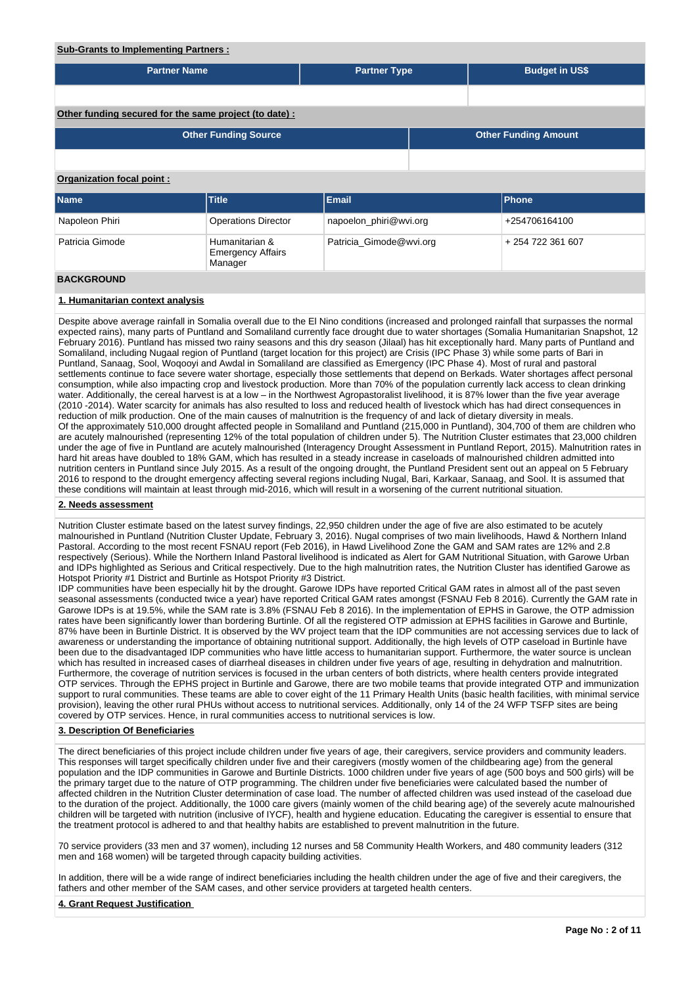### **Sub-Grants to Implementing Partners :**

| <b>Partner Name</b>                                    |                                                       | <b>Partner Type</b>     | <b>Budget in US\$</b>       |  |
|--------------------------------------------------------|-------------------------------------------------------|-------------------------|-----------------------------|--|
|                                                        |                                                       |                         |                             |  |
| Other funding secured for the same project (to date) : |                                                       |                         |                             |  |
|                                                        | <b>Other Funding Source</b>                           |                         | <b>Other Funding Amount</b> |  |
|                                                        |                                                       |                         |                             |  |
| <b>Organization focal point:</b>                       |                                                       |                         |                             |  |
| Name                                                   | Title                                                 | <b>Email</b>            | Phone                       |  |
| Napoleon Phiri                                         | <b>Operations Director</b>                            | napoelon_phiri@wvi.org  | +254706164100               |  |
| Patricia Gimode                                        | Humanitarian &<br><b>Emergency Affairs</b><br>Manager | Patricia_Gimode@wvi.org | +254 722 361 607            |  |
| <b>BACKGROUND</b>                                      |                                                       |                         |                             |  |

### **1. Humanitarian context analysis**

Despite above average rainfall in Somalia overall due to the El Nino conditions (increased and prolonged rainfall that surpasses the normal expected rains), many parts of Puntland and Somaliland currently face drought due to water shortages (Somalia Humanitarian Snapshot, 12 February 2016). Puntland has missed two rainy seasons and this dry season (Jilaal) has hit exceptionally hard. Many parts of Puntland and Somaliland, including Nugaal region of Puntland (target location for this project) are Crisis (IPC Phase 3) while some parts of Bari in Puntland, Sanaag, Sool, Woqooyi and Awdal in Somaliland are classified as Emergency (IPC Phase 4). Most of rural and pastoral settlements continue to face severe water shortage, especially those settlements that depend on Berkads. Water shortages affect personal consumption, while also impacting crop and livestock production. More than 70% of the population currently lack access to clean drinking water. Additionally, the cereal harvest is at a low – in the Northwest Agropastoralist livelihood, it is 87% lower than the five year average (2010 -2014). Water scarcity for animals has also resulted to loss and reduced health of livestock which has had direct consequences in reduction of milk production. One of the main causes of malnutrition is the frequency of and lack of dietary diversity in meals. Of the approximately 510,000 drought affected people in Somaliland and Puntland (215,000 in Puntland), 304,700 of them are children who are acutely malnourished (representing 12% of the total population of children under 5). The Nutrition Cluster estimates that 23,000 children under the age of five in Puntland are acutely malnourished (Interagency Drought Assessment in Puntland Report, 2015). Malnutrition rates in hard hit areas have doubled to 18% GAM, which has resulted in a steady increase in caseloads of malnourished children admitted into nutrition centers in Puntland since July 2015. As a result of the ongoing drought, the Puntland President sent out an appeal on 5 February 2016 to respond to the drought emergency affecting several regions including Nugal, Bari, Karkaar, Sanaag, and Sool. It is assumed that these conditions will maintain at least through mid-2016, which will result in a worsening of the current nutritional situation.

### **2. Needs assessment**

Nutrition Cluster estimate based on the latest survey findings, 22,950 children under the age of five are also estimated to be acutely malnourished in Puntland (Nutrition Cluster Update, February 3, 2016). Nugal comprises of two main livelihoods, Hawd & Northern Inland Pastoral. According to the most recent FSNAU report (Feb 2016), in Hawd Livelihood Zone the GAM and SAM rates are 12% and 2.8 respectively (Serious). While the Northern Inland Pastoral livelihood is indicated as Alert for GAM Nutritional Situation, with Garowe Urban and IDPs highlighted as Serious and Critical respectively. Due to the high malnutrition rates, the Nutrition Cluster has identified Garowe as Hotspot Priority #1 District and Burtinle as Hotspot Priority #3 District.

IDP communities have been especially hit by the drought. Garowe IDPs have reported Critical GAM rates in almost all of the past seven seasonal assessments (conducted twice a year) have reported Critical GAM rates amongst (FSNAU Feb 8 2016). Currently the GAM rate in Garowe IDPs is at 19.5%, while the SAM rate is 3.8% (FSNAU Feb 8 2016). In the implementation of EPHS in Garowe, the OTP admission rates have been significantly lower than bordering Burtinle. Of all the registered OTP admission at EPHS facilities in Garowe and Burtinle, 87% have been in Burtinle District. It is observed by the WV project team that the IDP communities are not accessing services due to lack of awareness or understanding the importance of obtaining nutritional support. Additionally, the high levels of OTP caseload in Burtinle have been due to the disadvantaged IDP communities who have little access to humanitarian support. Furthermore, the water source is unclean which has resulted in increased cases of diarrheal diseases in children under five years of age, resulting in dehydration and malnutrition. Furthermore, the coverage of nutrition services is focused in the urban centers of both districts, where health centers provide integrated OTP services. Through the EPHS project in Burtinle and Garowe, there are two mobile teams that provide integrated OTP and immunization support to rural communities. These teams are able to cover eight of the 11 Primary Health Units (basic health facilities, with minimal service provision), leaving the other rural PHUs without access to nutritional services. Additionally, only 14 of the 24 WFP TSFP sites are being covered by OTP services. Hence, in rural communities access to nutritional services is low.

#### **3. Description Of Beneficiaries**

The direct beneficiaries of this project include children under five years of age, their caregivers, service providers and community leaders. This responses will target specifically children under five and their caregivers (mostly women of the childbearing age) from the general population and the IDP communities in Garowe and Burtinle Districts. 1000 children under five years of age (500 boys and 500 girls) will be the primary target due to the nature of OTP programming. The children under five beneficiaries were calculated based the number of affected children in the Nutrition Cluster determination of case load. The number of affected children was used instead of the caseload due to the duration of the project. Additionally, the 1000 care givers (mainly women of the child bearing age) of the severely acute malnourished children will be targeted with nutrition (inclusive of IYCF), health and hygiene education. Educating the caregiver is essential to ensure that the treatment protocol is adhered to and that healthy habits are established to prevent malnutrition in the future.

70 service providers (33 men and 37 women), including 12 nurses and 58 Community Health Workers, and 480 community leaders (312 men and 168 women) will be targeted through capacity building activities.

In addition, there will be a wide range of indirect beneficiaries including the health children under the age of five and their caregivers, the fathers and other member of the SAM cases, and other service providers at targeted health centers.

### **4. Grant Request Justification**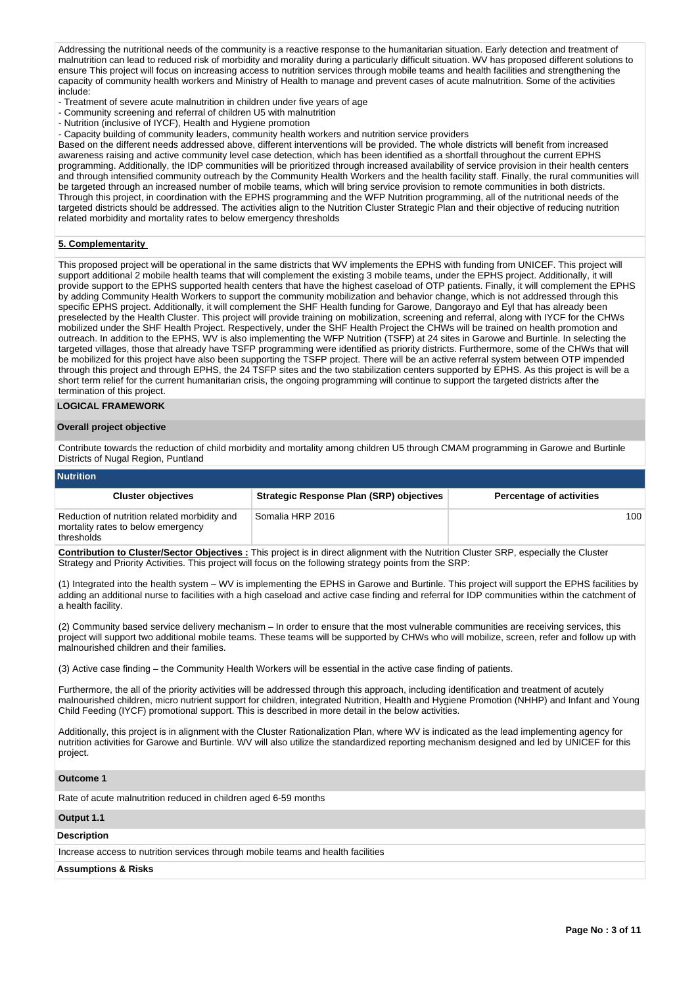Addressing the nutritional needs of the community is a reactive response to the humanitarian situation. Early detection and treatment of malnutrition can lead to reduced risk of morbidity and morality during a particularly difficult situation. WV has proposed different solutions to ensure This project will focus on increasing access to nutrition services through mobile teams and health facilities and strengthening the capacity of community health workers and Ministry of Health to manage and prevent cases of acute malnutrition. Some of the activities include:

- Treatment of severe acute malnutrition in children under five years of age
- Community screening and referral of children U5 with malnutrition
- Nutrition (inclusive of IYCF), Health and Hygiene promotion
- Capacity building of community leaders, community health workers and nutrition service providers

Based on the different needs addressed above, different interventions will be provided. The whole districts will benefit from increased awareness raising and active community level case detection, which has been identified as a shortfall throughout the current EPHS programming. Additionally, the IDP communities will be prioritized through increased availability of service provision in their health centers and through intensified community outreach by the Community Health Workers and the health facility staff. Finally, the rural communities will be targeted through an increased number of mobile teams, which will bring service provision to remote communities in both districts. Through this project, in coordination with the EPHS programming and the WFP Nutrition programming, all of the nutritional needs of the targeted districts should be addressed. The activities align to the Nutrition Cluster Strategic Plan and their objective of reducing nutrition related morbidity and mortality rates to below emergency thresholds

## **5. Complementarity**

This proposed project will be operational in the same districts that WV implements the EPHS with funding from UNICEF. This project will support additional 2 mobile health teams that will complement the existing 3 mobile teams, under the EPHS project. Additionally, it will provide support to the EPHS supported health centers that have the highest caseload of OTP patients. Finally, it will complement the EPHS by adding Community Health Workers to support the community mobilization and behavior change, which is not addressed through this specific EPHS project. Additionally, it will complement the SHF Health funding for Garowe, Dangorayo and Eyl that has already been preselected by the Health Cluster. This project will provide training on mobilization, screening and referral, along with IYCF for the CHWs mobilized under the SHF Health Project. Respectively, under the SHF Health Project the CHWs will be trained on health promotion and outreach. In addition to the EPHS, WV is also implementing the WFP Nutrition (TSFP) at 24 sites in Garowe and Burtinle. In selecting the targeted villages, those that already have TSFP programming were identified as priority districts. Furthermore, some of the CHWs that will be mobilized for this project have also been supporting the TSFP project. There will be an active referral system between OTP impended through this project and through EPHS, the 24 TSFP sites and the two stabilization centers supported by EPHS. As this project is will be a short term relief for the current humanitarian crisis, the ongoing programming will continue to support the targeted districts after the termination of this project.

### **LOGICAL FRAMEWORK**

### **Overall project objective**

Contribute towards the reduction of child morbidity and mortality among children U5 through CMAM programming in Garowe and Burtinle Districts of Nugal Region, Puntland

| <b>Nutrition</b>                                                                                 |                                                 |                                 |
|--------------------------------------------------------------------------------------------------|-------------------------------------------------|---------------------------------|
| <b>Cluster objectives</b>                                                                        | <b>Strategic Response Plan (SRP) objectives</b> | <b>Percentage of activities</b> |
| Reduction of nutrition related morbidity and<br>mortality rates to below emergency<br>thresholds | Somalia HRP 2016                                | 100                             |
|                                                                                                  |                                                 |                                 |

**Contribution to Cluster/Sector Objectives :** This project is in direct alignment with the Nutrition Cluster SRP, especially the Cluster Strategy and Priority Activities. This project will focus on the following strategy points from the SRP:

(1) Integrated into the health system – WV is implementing the EPHS in Garowe and Burtinle. This project will support the EPHS facilities by adding an additional nurse to facilities with a high caseload and active case finding and referral for IDP communities within the catchment of a health facility.

(2) Community based service delivery mechanism – In order to ensure that the most vulnerable communities are receiving services, this project will support two additional mobile teams. These teams will be supported by CHWs who will mobilize, screen, refer and follow up with malnourished children and their families.

(3) Active case finding – the Community Health Workers will be essential in the active case finding of patients.

Furthermore, the all of the priority activities will be addressed through this approach, including identification and treatment of acutely malnourished children, micro nutrient support for children, integrated Nutrition, Health and Hygiene Promotion (NHHP) and Infant and Young Child Feeding (IYCF) promotional support. This is described in more detail in the below activities.

Additionally, this project is in alignment with the Cluster Rationalization Plan, where WV is indicated as the lead implementing agency for nutrition activities for Garowe and Burtinle. WV will also utilize the standardized reporting mechanism designed and led by UNICEF for this project.

#### **Outcome 1**

Rate of acute malnutrition reduced in children aged 6-59 months

#### **Output 1.1**

#### **Description**

Increase access to nutrition services through mobile teams and health facilities

### **Assumptions & Risks**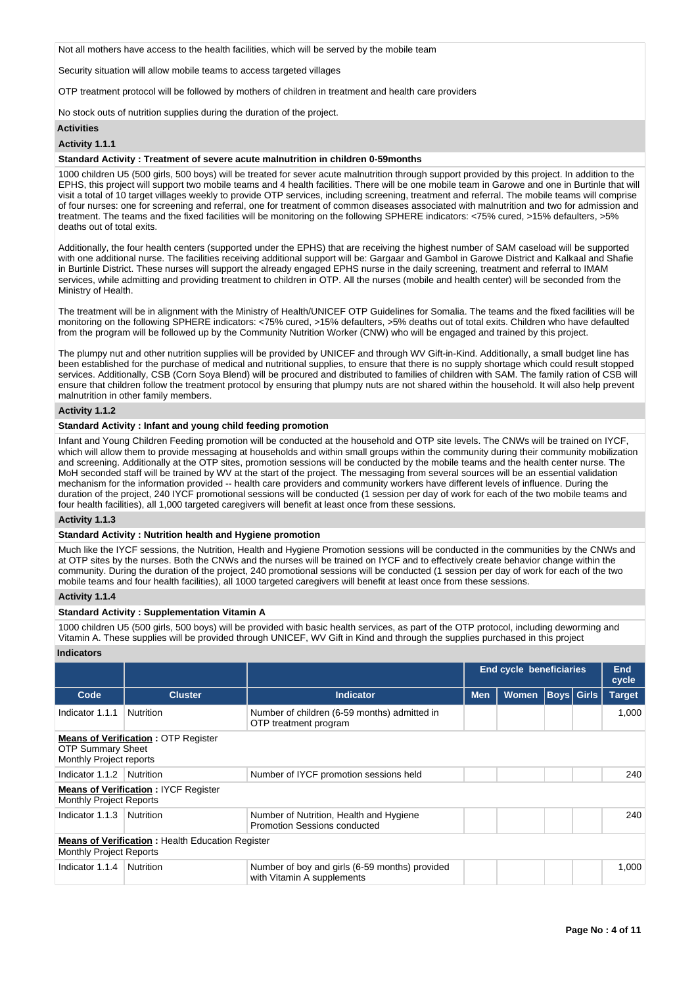Not all mothers have access to the health facilities, which will be served by the mobile team

Security situation will allow mobile teams to access targeted villages

OTP treatment protocol will be followed by mothers of children in treatment and health care providers

No stock outs of nutrition supplies during the duration of the project.

#### **Activities**

#### **Activity 1.1.1**

#### **Standard Activity : Treatment of severe acute malnutrition in children 0-59months**

1000 children U5 (500 girls, 500 boys) will be treated for sever acute malnutrition through support provided by this project. In addition to the EPHS, this project will support two mobile teams and 4 health facilities. There will be one mobile team in Garowe and one in Burtinle that will visit a total of 10 target villages weekly to provide OTP services, including screening, treatment and referral. The mobile teams will comprise of four nurses: one for screening and referral, one for treatment of common diseases associated with malnutrition and two for admission and treatment. The teams and the fixed facilities will be monitoring on the following SPHERE indicators: <75% cured, >15% defaulters, >5% deaths out of total exits.

Additionally, the four health centers (supported under the EPHS) that are receiving the highest number of SAM caseload will be supported with one additional nurse. The facilities receiving additional support will be: Gargaar and Gambol in Garowe District and Kalkaal and Shafie in Burtinle District. These nurses will support the already engaged EPHS nurse in the daily screening, treatment and referral to IMAM services, while admitting and providing treatment to children in OTP. All the nurses (mobile and health center) will be seconded from the Ministry of Health.

The treatment will be in alignment with the Ministry of Health/UNICEF OTP Guidelines for Somalia. The teams and the fixed facilities will be monitoring on the following SPHERE indicators: <75% cured, >15% defaulters, >5% deaths out of total exits. Children who have defaulted from the program will be followed up by the Community Nutrition Worker (CNW) who will be engaged and trained by this project.

The plumpy nut and other nutrition supplies will be provided by UNICEF and through WV Gift-in-Kind. Additionally, a small budget line has been established for the purchase of medical and nutritional supplies, to ensure that there is no supply shortage which could result stopped services. Additionally, CSB (Corn Soya Blend) will be procured and distributed to families of children with SAM. The family ration of CSB will ensure that children follow the treatment protocol by ensuring that plumpy nuts are not shared within the household. It will also help prevent malnutrition in other family members.

### **Activity 1.1.2**

#### **Standard Activity : Infant and young child feeding promotion**

Infant and Young Children Feeding promotion will be conducted at the household and OTP site levels. The CNWs will be trained on IYCF, which will allow them to provide messaging at households and within small groups within the community during their community mobilization and screening. Additionally at the OTP sites, promotion sessions will be conducted by the mobile teams and the health center nurse. The MoH seconded staff will be trained by WV at the start of the project. The messaging from several sources will be an essential validation mechanism for the information provided -- health care providers and community workers have different levels of influence. During the duration of the project, 240 IYCF promotional sessions will be conducted (1 session per day of work for each of the two mobile teams and four health facilities), all 1,000 targeted caregivers will benefit at least once from these sessions.

#### **Activity 1.1.3**

## **Standard Activity : Nutrition health and Hygiene promotion**

Much like the IYCF sessions, the Nutrition, Health and Hygiene Promotion sessions will be conducted in the communities by the CNWs and at OTP sites by the nurses. Both the CNWs and the nurses will be trained on IYCF and to effectively create behavior change within the community. During the duration of the project, 240 promotional sessions will be conducted (1 session per day of work for each of the two mobile teams and four health facilities), all 1000 targeted caregivers will benefit at least once from these sessions.

### **Activity 1.1.4**

### **Standard Activity : Supplementation Vitamin A**

1000 children U5 (500 girls, 500 boys) will be provided with basic health services, as part of the OTP protocol, including deworming and Vitamin A. These supplies will be provided through UNICEF, WV Gift in Kind and through the supplies purchased in this project

### **Indicators**

|                                                     |                                                         |                                                                              | <b>End cycle beneficiaries</b> | <b>End</b><br>cycle |                   |  |               |
|-----------------------------------------------------|---------------------------------------------------------|------------------------------------------------------------------------------|--------------------------------|---------------------|-------------------|--|---------------|
| Code                                                | <b>Cluster</b>                                          | <b>Indicator</b>                                                             | <b>Men</b>                     | <b>Women</b>        | <b>Boys</b> Girls |  | <b>Target</b> |
| Indicator 1.1.1                                     | <b>Nutrition</b>                                        | Number of children (6-59 months) admitted in<br>OTP treatment program        |                                |                     |                   |  | 1,000         |
| <b>OTP Summary Sheet</b><br>Monthly Project reports | <b>Means of Verification: OTP Register</b>              |                                                                              |                                |                     |                   |  |               |
| Indicator 1.1.2                                     | Nutrition                                               | Number of IYCF promotion sessions held                                       |                                |                     |                   |  | 240           |
| <b>Monthly Project Reports</b>                      | <b>Means of Verification: IYCF Register</b>             |                                                                              |                                |                     |                   |  |               |
| Indicator 1.1.3                                     | Nutrition                                               | Number of Nutrition, Health and Hygiene<br>Promotion Sessions conducted      |                                |                     |                   |  | 240           |
| <b>Monthly Project Reports</b>                      | <b>Means of Verification:</b> Health Education Register |                                                                              |                                |                     |                   |  |               |
| Indicator 1.1.4                                     | Nutrition                                               | Number of boy and girls (6-59 months) provided<br>with Vitamin A supplements |                                |                     |                   |  | 1,000         |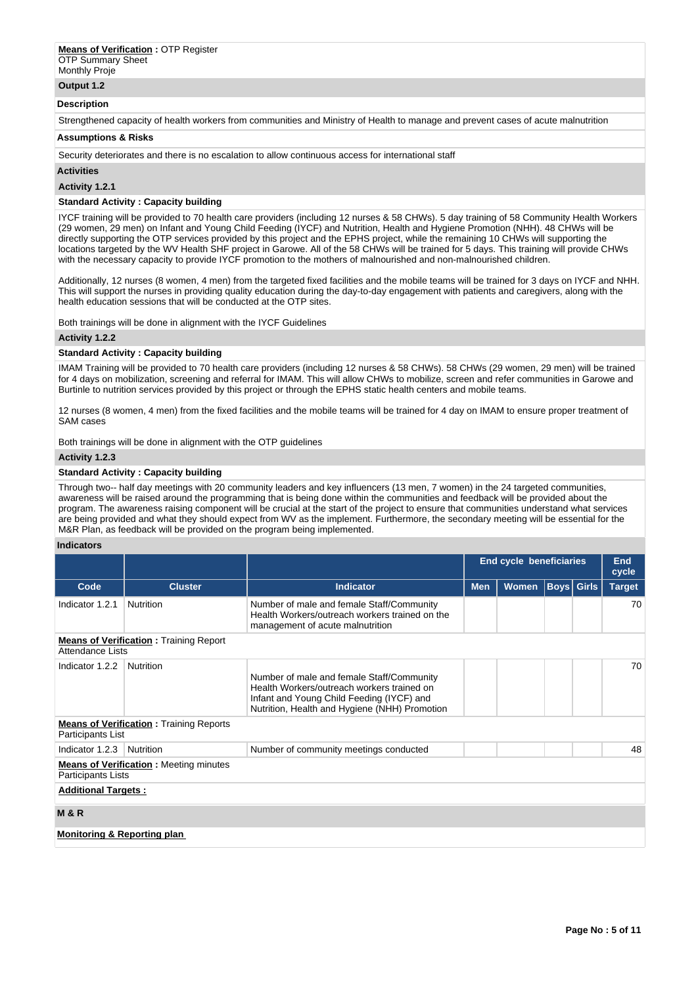Monthly Proje

# **Output 1.2**

#### **Description**

Strengthened capacity of health workers from communities and Ministry of Health to manage and prevent cases of acute malnutrition

### **Assumptions & Risks**

Security deteriorates and there is no escalation to allow continuous access for international staff

**Activities**

**Activity 1.2.1** 

### **Standard Activity : Capacity building**

IYCF training will be provided to 70 health care providers (including 12 nurses & 58 CHWs). 5 day training of 58 Community Health Workers (29 women, 29 men) on Infant and Young Child Feeding (IYCF) and Nutrition, Health and Hygiene Promotion (NHH). 48 CHWs will be directly supporting the OTP services provided by this project and the EPHS project, while the remaining 10 CHWs will supporting the locations targeted by the WV Health SHF project in Garowe. All of the 58 CHWs will be trained for 5 days. This training will provide CHWs with the necessary capacity to provide IYCF promotion to the mothers of malnourished and non-malnourished children.

Additionally, 12 nurses (8 women, 4 men) from the targeted fixed facilities and the mobile teams will be trained for 3 days on IYCF and NHH. This will support the nurses in providing quality education during the day-to-day engagement with patients and caregivers, along with the health education sessions that will be conducted at the OTP sites.

Both trainings will be done in alignment with the IYCF Guidelines

### **Activity 1.2.2**

### **Standard Activity : Capacity building**

IMAM Training will be provided to 70 health care providers (including 12 nurses & 58 CHWs). 58 CHWs (29 women, 29 men) will be trained for 4 days on mobilization, screening and referral for IMAM. This will allow CHWs to mobilize, screen and refer communities in Garowe and Burtinle to nutrition services provided by this project or through the EPHS static health centers and mobile teams.

12 nurses (8 women, 4 men) from the fixed facilities and the mobile teams will be trained for 4 day on IMAM to ensure proper treatment of SAM cases

Both trainings will be done in alignment with the OTP guidelines

### **Activity 1.2.3**

### **Standard Activity : Capacity building**

Through two-- half day meetings with 20 community leaders and key influencers (13 men, 7 women) in the 24 targeted communities, awareness will be raised around the programming that is being done within the communities and feedback will be provided about the program. The awareness raising component will be crucial at the start of the project to ensure that communities understand what services are being provided and what they should expect from WV as the implement. Furthermore, the secondary meeting will be essential for the M&R Plan, as feedback will be provided on the program being implemented.

#### **Indicators**

|                                        |                                                |                                                                                                                                                                                       | <b>End cycle beneficiaries</b> |              |                   |  | End<br>cycle  |
|----------------------------------------|------------------------------------------------|---------------------------------------------------------------------------------------------------------------------------------------------------------------------------------------|--------------------------------|--------------|-------------------|--|---------------|
| Code                                   | <b>Cluster</b>                                 | <b>Indicator</b>                                                                                                                                                                      | <b>Men</b>                     | <b>Women</b> | <b>Boys</b> Girls |  | <b>Target</b> |
| Indicator 1.2.1                        | Nutrition                                      | Number of male and female Staff/Community<br>Health Workers/outreach workers trained on the<br>management of acute malnutrition                                                       |                                |              |                   |  | 70            |
| Attendance Lists                       | <b>Means of Verification:</b> Training Report  |                                                                                                                                                                                       |                                |              |                   |  |               |
| Indicator 1.2.2                        | Nutrition                                      | Number of male and female Staff/Community<br>Health Workers/outreach workers trained on<br>Infant and Young Child Feeding (IYCF) and<br>Nutrition, Health and Hygiene (NHH) Promotion |                                |              |                   |  | 70            |
| Participants List                      | <b>Means of Verification:</b> Training Reports |                                                                                                                                                                                       |                                |              |                   |  |               |
| Indicator 1.2.3                        | Nutrition                                      | Number of community meetings conducted                                                                                                                                                |                                |              |                   |  | 48            |
| Participants Lists                     | <b>Means of Verification: Meeting minutes</b>  |                                                                                                                                                                                       |                                |              |                   |  |               |
| <b>Additional Targets:</b>             |                                                |                                                                                                                                                                                       |                                |              |                   |  |               |
| <b>M&amp;R</b>                         |                                                |                                                                                                                                                                                       |                                |              |                   |  |               |
| <b>Monitoring &amp; Reporting plan</b> |                                                |                                                                                                                                                                                       |                                |              |                   |  |               |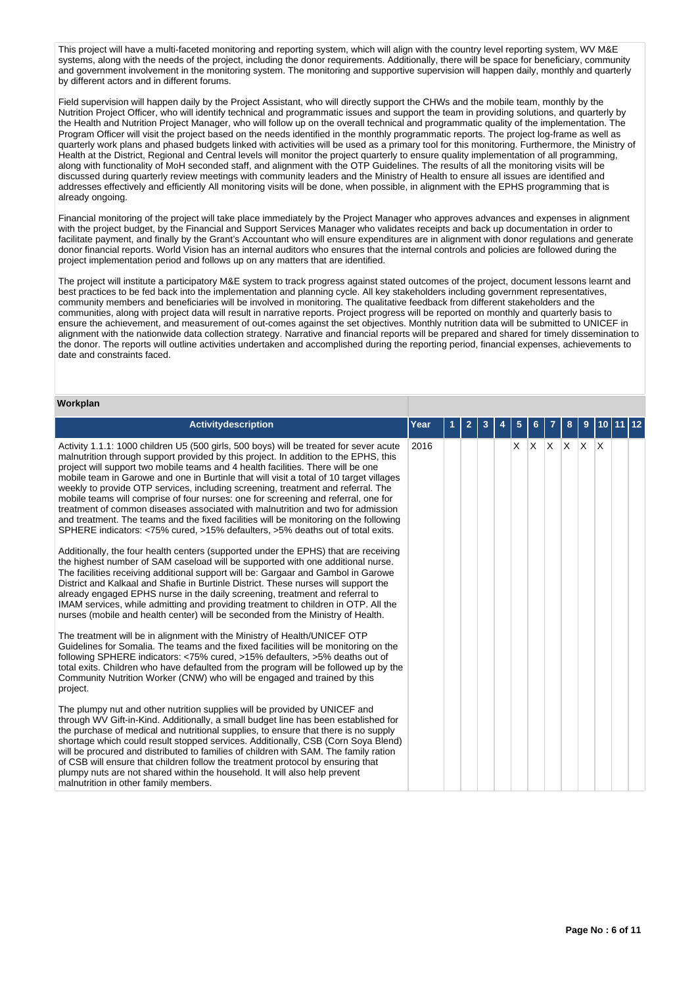This project will have a multi-faceted monitoring and reporting system, which will align with the country level reporting system, WV M&E systems, along with the needs of the project, including the donor requirements. Additionally, there will be space for beneficiary, community and government involvement in the monitoring system. The monitoring and supportive supervision will happen daily, monthly and quarterly by different actors and in different forums.

Field supervision will happen daily by the Project Assistant, who will directly support the CHWs and the mobile team, monthly by the Nutrition Project Officer, who will identify technical and programmatic issues and support the team in providing solutions, and quarterly by the Health and Nutrition Project Manager, who will follow up on the overall technical and programmatic quality of the implementation. The Program Officer will visit the project based on the needs identified in the monthly programmatic reports. The project log-frame as well as quarterly work plans and phased budgets linked with activities will be used as a primary tool for this monitoring. Furthermore, the Ministry of Health at the District, Regional and Central levels will monitor the project quarterly to ensure quality implementation of all programming, along with functionality of MoH seconded staff, and alignment with the OTP Guidelines. The results of all the monitoring visits will be discussed during quarterly review meetings with community leaders and the Ministry of Health to ensure all issues are identified and addresses effectively and efficiently All monitoring visits will be done, when possible, in alignment with the EPHS programming that is already ongoing.

Financial monitoring of the project will take place immediately by the Project Manager who approves advances and expenses in alignment with the project budget, by the Financial and Support Services Manager who validates receipts and back up documentation in order to facilitate payment, and finally by the Grant's Accountant who will ensure expenditures are in alignment with donor regulations and generate donor financial reports. World Vision has an internal auditors who ensures that the internal controls and policies are followed during the project implementation period and follows up on any matters that are identified.

The project will institute a participatory M&E system to track progress against stated outcomes of the project, document lessons learnt and best practices to be fed back into the implementation and planning cycle. All key stakeholders including government representatives, community members and beneficiaries will be involved in monitoring. The qualitative feedback from different stakeholders and the communities, along with project data will result in narrative reports. Project progress will be reported on monthly and quarterly basis to ensure the achievement, and measurement of out-comes against the set objectives. Monthly nutrition data will be submitted to UNICEF in alignment with the nationwide data collection strategy. Narrative and financial reports will be prepared and shared for timely dissemination to the donor. The reports will outline activities undertaken and accomplished during the reporting period, financial expenses, achievements to date and constraints faced.

| Workplan                                                                                                                                                                                                                                                                                                                                                                                                                                                                                                                                                                                                                                                                                                                                                                                                                                                                                                                                                                                                                                                                                                                                                                                                                                                                                                                                                                                                             |      |   |                |   |   |   |     |             |   |   |     |    |
|----------------------------------------------------------------------------------------------------------------------------------------------------------------------------------------------------------------------------------------------------------------------------------------------------------------------------------------------------------------------------------------------------------------------------------------------------------------------------------------------------------------------------------------------------------------------------------------------------------------------------------------------------------------------------------------------------------------------------------------------------------------------------------------------------------------------------------------------------------------------------------------------------------------------------------------------------------------------------------------------------------------------------------------------------------------------------------------------------------------------------------------------------------------------------------------------------------------------------------------------------------------------------------------------------------------------------------------------------------------------------------------------------------------------|------|---|----------------|---|---|---|-----|-------------|---|---|-----|----|
| Activitydescription                                                                                                                                                                                                                                                                                                                                                                                                                                                                                                                                                                                                                                                                                                                                                                                                                                                                                                                                                                                                                                                                                                                                                                                                                                                                                                                                                                                                  | Year | 1 | $\overline{2}$ | 3 | 4 | 5 | 6   |             | 8 | 9 | 10  | 12 |
| Activity 1.1.1: 1000 children U5 (500 girls, 500 boys) will be treated for sever acute<br>malnutrition through support provided by this project. In addition to the EPHS, this<br>project will support two mobile teams and 4 health facilities. There will be one<br>mobile team in Garowe and one in Burtinle that will visit a total of 10 target villages<br>weekly to provide OTP services, including screening, treatment and referral. The<br>mobile teams will comprise of four nurses: one for screening and referral, one for<br>treatment of common diseases associated with malnutrition and two for admission<br>and treatment. The teams and the fixed facilities will be monitoring on the following<br>SPHERE indicators: <75% cured, >15% defaulters, >5% deaths out of total exits.<br>Additionally, the four health centers (supported under the EPHS) that are receiving<br>the highest number of SAM caseload will be supported with one additional nurse.<br>The facilities receiving additional support will be: Gargaar and Gambol in Garowe<br>District and Kalkaal and Shafie in Burtinle District. These nurses will support the<br>already engaged EPHS nurse in the daily screening, treatment and referral to<br>IMAM services, while admitting and providing treatment to children in OTP. All the<br>nurses (mobile and health center) will be seconded from the Ministry of Health. | 2016 |   |                |   |   | X | ΙX. | $X$ $X$ $X$ |   |   | ΙX. |    |
| The treatment will be in alignment with the Ministry of Health/UNICEF OTP<br>Guidelines for Somalia. The teams and the fixed facilities will be monitoring on the<br>following SPHERE indicators: <75% cured, >15% defaulters, >5% deaths out of<br>total exits. Children who have defaulted from the program will be followed up by the<br>Community Nutrition Worker (CNW) who will be engaged and trained by this<br>project.                                                                                                                                                                                                                                                                                                                                                                                                                                                                                                                                                                                                                                                                                                                                                                                                                                                                                                                                                                                     |      |   |                |   |   |   |     |             |   |   |     |    |
| The plumpy nut and other nutrition supplies will be provided by UNICEF and<br>through WV Gift-in-Kind. Additionally, a small budget line has been established for<br>the purchase of medical and nutritional supplies, to ensure that there is no supply<br>shortage which could result stopped services. Additionally, CSB (Corn Soya Blend)<br>will be procured and distributed to families of children with SAM. The family ration<br>of CSB will ensure that children follow the treatment protocol by ensuring that<br>plumpy nuts are not shared within the household. It will also help prevent<br>malnutrition in other family members.                                                                                                                                                                                                                                                                                                                                                                                                                                                                                                                                                                                                                                                                                                                                                                      |      |   |                |   |   |   |     |             |   |   |     |    |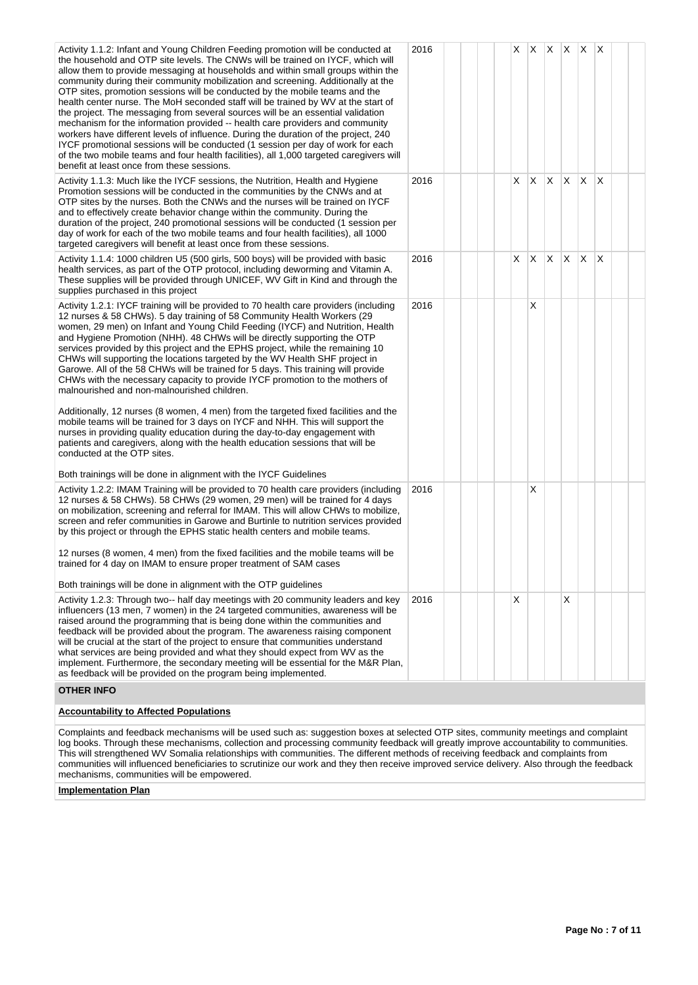| Activity 1.1.2: Infant and Young Children Feeding promotion will be conducted at<br>the household and OTP site levels. The CNWs will be trained on IYCF, which will<br>allow them to provide messaging at households and within small groups within the<br>community during their community mobilization and screening. Additionally at the<br>OTP sites, promotion sessions will be conducted by the mobile teams and the<br>health center nurse. The MoH seconded staff will be trained by WV at the start of<br>the project. The messaging from several sources will be an essential validation<br>mechanism for the information provided -- health care providers and community<br>workers have different levels of influence. During the duration of the project, 240<br>IYCF promotional sessions will be conducted (1 session per day of work for each<br>of the two mobile teams and four health facilities), all 1,000 targeted caregivers will<br>benefit at least once from these sessions.                                                                                                                                                           | 2016 |  |    |    | $X$ $X$ $X$ $X$ $X$ |    |     |     |  |
|------------------------------------------------------------------------------------------------------------------------------------------------------------------------------------------------------------------------------------------------------------------------------------------------------------------------------------------------------------------------------------------------------------------------------------------------------------------------------------------------------------------------------------------------------------------------------------------------------------------------------------------------------------------------------------------------------------------------------------------------------------------------------------------------------------------------------------------------------------------------------------------------------------------------------------------------------------------------------------------------------------------------------------------------------------------------------------------------------------------------------------------------------------------|------|--|----|----|---------------------|----|-----|-----|--|
| Activity 1.1.3: Much like the IYCF sessions, the Nutrition, Health and Hygiene<br>Promotion sessions will be conducted in the communities by the CNWs and at<br>OTP sites by the nurses. Both the CNWs and the nurses will be trained on IYCF<br>and to effectively create behavior change within the community. During the<br>duration of the project, 240 promotional sessions will be conducted (1 session per<br>day of work for each of the two mobile teams and four health facilities), all 1000<br>targeted caregivers will benefit at least once from these sessions.                                                                                                                                                                                                                                                                                                                                                                                                                                                                                                                                                                                   | 2016 |  | X  |    | X X X               |    | X X |     |  |
| Activity 1.1.4: 1000 children U5 (500 girls, 500 boys) will be provided with basic<br>health services, as part of the OTP protocol, including deworming and Vitamin A.<br>These supplies will be provided through UNICEF, WV Gift in Kind and through the<br>supplies purchased in this project                                                                                                                                                                                                                                                                                                                                                                                                                                                                                                                                                                                                                                                                                                                                                                                                                                                                  | 2016 |  | X. | X. | X.                  | X. | X.  | ΙX. |  |
| Activity 1.2.1: IYCF training will be provided to 70 health care providers (including<br>12 nurses & 58 CHWs). 5 day training of 58 Community Health Workers (29<br>women, 29 men) on Infant and Young Child Feeding (IYCF) and Nutrition, Health<br>and Hygiene Promotion (NHH). 48 CHWs will be directly supporting the OTP<br>services provided by this project and the EPHS project, while the remaining 10<br>CHWs will supporting the locations targeted by the WV Health SHF project in<br>Garowe. All of the 58 CHWs will be trained for 5 days. This training will provide<br>CHWs with the necessary capacity to provide IYCF promotion to the mothers of<br>malnourished and non-malnourished children.<br>Additionally, 12 nurses (8 women, 4 men) from the targeted fixed facilities and the<br>mobile teams will be trained for 3 days on IYCF and NHH. This will support the<br>nurses in providing quality education during the day-to-day engagement with<br>patients and caregivers, along with the health education sessions that will be<br>conducted at the OTP sites.<br>Both trainings will be done in alignment with the IYCF Guidelines | 2016 |  |    | X  |                     |    |     |     |  |
| Activity 1.2.2: IMAM Training will be provided to 70 health care providers (including<br>12 nurses & 58 CHWs). 58 CHWs (29 women, 29 men) will be trained for 4 days<br>on mobilization, screening and referral for IMAM. This will allow CHWs to mobilize,<br>screen and refer communities in Garowe and Burtinle to nutrition services provided<br>by this project or through the EPHS static health centers and mobile teams.<br>12 nurses (8 women, 4 men) from the fixed facilities and the mobile teams will be<br>trained for 4 day on IMAM to ensure proper treatment of SAM cases<br>Both trainings will be done in alignment with the OTP guidelines                                                                                                                                                                                                                                                                                                                                                                                                                                                                                                   | 2016 |  |    | Х  |                     |    |     |     |  |
| Activity 1.2.3: Through two-- half day meetings with 20 community leaders and key<br>influencers (13 men, 7 women) in the 24 targeted communities, awareness will be<br>raised around the programming that is being done within the communities and<br>feedback will be provided about the program. The awareness raising component<br>will be crucial at the start of the project to ensure that communities understand<br>what services are being provided and what they should expect from WV as the<br>implement. Furthermore, the secondary meeting will be essential for the M&R Plan,<br>as feedback will be provided on the program being implemented.<br><b>OTHER INFO</b>                                                                                                                                                                                                                                                                                                                                                                                                                                                                              | 2016 |  | X  |    |                     | X  |     |     |  |
|                                                                                                                                                                                                                                                                                                                                                                                                                                                                                                                                                                                                                                                                                                                                                                                                                                                                                                                                                                                                                                                                                                                                                                  |      |  |    |    |                     |    |     |     |  |

# **Accountability to Affected Populations**

Complaints and feedback mechanisms will be used such as: suggestion boxes at selected OTP sites, community meetings and complaint log books. Through these mechanisms, collection and processing community feedback will greatly improve accountability to communities. This will strengthened WV Somalia relationships with communities. The different methods of receiving feedback and complaints from communities will influenced beneficiaries to scrutinize our work and they then receive improved service delivery. Also through the feedback mechanisms, communities will be empowered.

**Implementation Plan**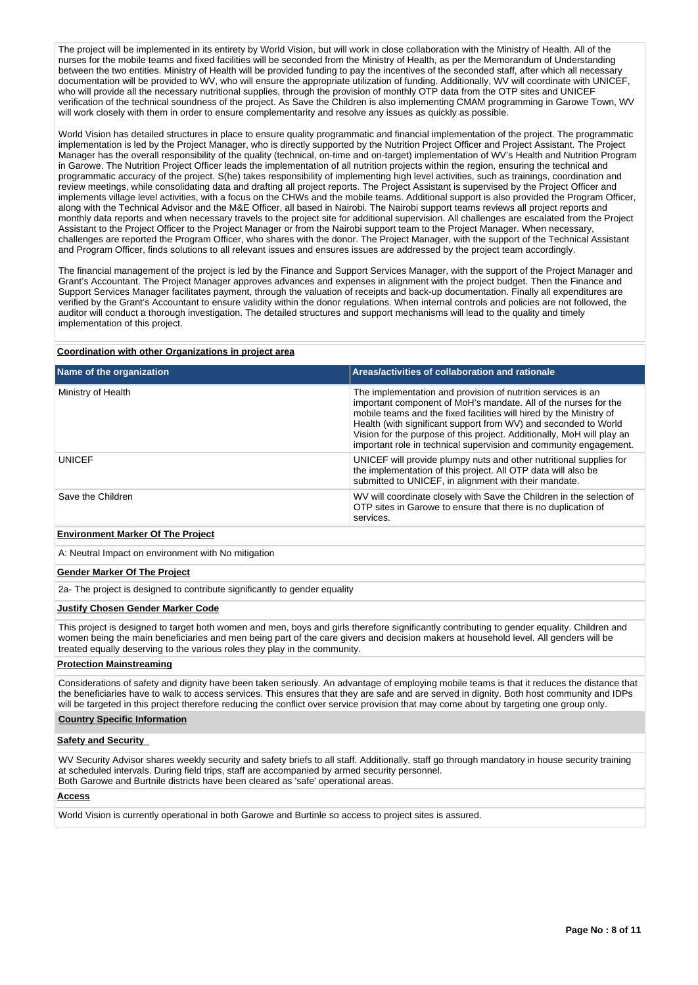The project will be implemented in its entirety by World Vision, but will work in close collaboration with the Ministry of Health. All of the nurses for the mobile teams and fixed facilities will be seconded from the Ministry of Health, as per the Memorandum of Understanding between the two entities. Ministry of Health will be provided funding to pay the incentives of the seconded staff, after which all necessary documentation will be provided to WV, who will ensure the appropriate utilization of funding. Additionally, WV will coordinate with UNICEF, who will provide all the necessary nutritional supplies, through the provision of monthly OTP data from the OTP sites and UNICEF verification of the technical soundness of the project. As Save the Children is also implementing CMAM programming in Garowe Town, WV will work closely with them in order to ensure complementarity and resolve any issues as quickly as possible.

World Vision has detailed structures in place to ensure quality programmatic and financial implementation of the project. The programmatic implementation is led by the Project Manager, who is directly supported by the Nutrition Project Officer and Project Assistant. The Project Manager has the overall responsibility of the quality (technical, on-time and on-target) implementation of WV's Health and Nutrition Program in Garowe. The Nutrition Project Officer leads the implementation of all nutrition projects within the region, ensuring the technical and programmatic accuracy of the project. S(he) takes responsibility of implementing high level activities, such as trainings, coordination and review meetings, while consolidating data and drafting all project reports. The Project Assistant is supervised by the Project Officer and implements village level activities, with a focus on the CHWs and the mobile teams. Additional support is also provided the Program Officer, along with the Technical Advisor and the M&E Officer, all based in Nairobi. The Nairobi support teams reviews all project reports and monthly data reports and when necessary travels to the project site for additional supervision. All challenges are escalated from the Project Assistant to the Project Officer to the Project Manager or from the Nairobi support team to the Project Manager. When necessary, challenges are reported the Program Officer, who shares with the donor. The Project Manager, with the support of the Technical Assistant and Program Officer, finds solutions to all relevant issues and ensures issues are addressed by the project team accordingly.

The financial management of the project is led by the Finance and Support Services Manager, with the support of the Project Manager and Grant's Accountant. The Project Manager approves advances and expenses in alignment with the project budget. Then the Finance and Support Services Manager facilitates payment, through the valuation of receipts and back-up documentation. Finally all expenditures are verified by the Grant's Accountant to ensure validity within the donor regulations. When internal controls and policies are not followed, the auditor will conduct a thorough investigation. The detailed structures and support mechanisms will lead to the quality and timely implementation of this project.

### **Coordination with other Organizations in project area**

| Areas/activities of collaboration and rationale                                                                                                                                                                                                                                                                                                                                                                          |
|--------------------------------------------------------------------------------------------------------------------------------------------------------------------------------------------------------------------------------------------------------------------------------------------------------------------------------------------------------------------------------------------------------------------------|
| The implementation and provision of nutrition services is an<br>important component of MoH's mandate. All of the nurses for the<br>mobile teams and the fixed facilities will hired by the Ministry of<br>Health (with significant support from WV) and seconded to World<br>Vision for the purpose of this project. Additionally, MoH will play an<br>important role in technical supervision and community engagement. |
| UNICEF will provide plumpy nuts and other nutritional supplies for<br>the implementation of this project. All OTP data will also be<br>submitted to UNICEF, in alignment with their mandate.                                                                                                                                                                                                                             |
| WV will coordinate closely with Save the Children in the selection of<br>OTP sites in Garowe to ensure that there is no duplication of<br>services.                                                                                                                                                                                                                                                                      |
|                                                                                                                                                                                                                                                                                                                                                                                                                          |

### **Environment Marker Of The Project**

A: Neutral Impact on environment with No mitigation

#### **Gender Marker Of The Project**

2a- The project is designed to contribute significantly to gender equality

# **Justify Chosen Gender Marker Code**

This project is designed to target both women and men, boys and girls therefore significantly contributing to gender equality. Children and women being the main beneficiaries and men being part of the care givers and decision makers at household level. All genders will be treated equally deserving to the various roles they play in the community.

#### **Protection Mainstreaming**

Considerations of safety and dignity have been taken seriously. An advantage of employing mobile teams is that it reduces the distance that the beneficiaries have to walk to access services. This ensures that they are safe and are served in dignity. Both host community and IDPs will be targeted in this project therefore reducing the conflict over service provision that may come about by targeting one group only.

## **Country Specific Information**

### **Safety and Security**

WV Security Advisor shares weekly security and safety briefs to all staff. Additionally, staff go through mandatory in house security training at scheduled intervals. During field trips, staff are accompanied by armed security personnel. Both Garowe and Burtnile districts have been cleared as 'safe' operational areas.

#### **Access**

World Vision is currently operational in both Garowe and Burtinle so access to project sites is assured.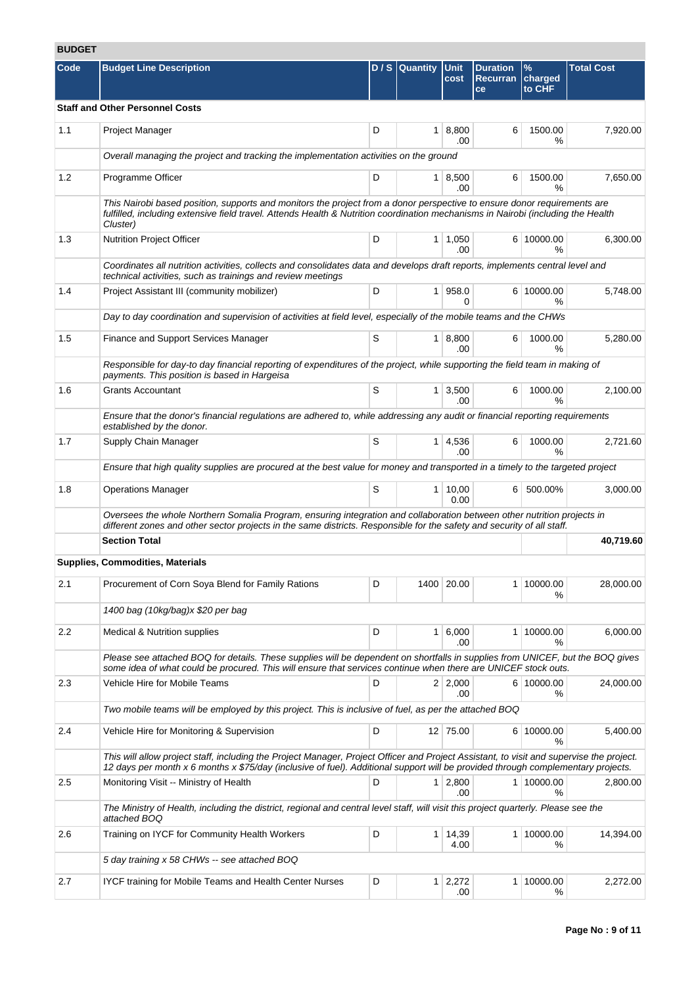# **BUDGET**

| Code | <b>Budget Line Description</b>                                                                                                                                                                                                                                               |   | D / S Quantity Unit | cost                   | <b>Duration</b><br><b>Recurran</b><br>ce | $\%$<br>charged<br>to CHF | <b>Total Cost</b> |
|------|------------------------------------------------------------------------------------------------------------------------------------------------------------------------------------------------------------------------------------------------------------------------------|---|---------------------|------------------------|------------------------------------------|---------------------------|-------------------|
|      | <b>Staff and Other Personnel Costs</b>                                                                                                                                                                                                                                       |   |                     |                        |                                          |                           |                   |
| 1.1  | Project Manager                                                                                                                                                                                                                                                              | D |                     | 1   8,800<br>.00       | 6                                        | 1500.00<br>%              | 7,920.00          |
|      | Overall managing the project and tracking the implementation activities on the ground                                                                                                                                                                                        |   |                     |                        |                                          |                           |                   |
| 1.2  | Programme Officer                                                                                                                                                                                                                                                            | D |                     | 1   8,500<br>.00       | 6                                        | 1500.00<br>$\frac{9}{6}$  | 7,650.00          |
|      | This Nairobi based position, supports and monitors the project from a donor perspective to ensure donor requirements are<br>fulfilled, including extensive field travel. Attends Health & Nutrition coordination mechanisms in Nairobi (including the Health<br>Cluster)     |   |                     |                        |                                          |                           |                   |
| 1.3  | <b>Nutrition Project Officer</b>                                                                                                                                                                                                                                             | D |                     | $1 \mid 1,050$<br>.00  |                                          | 6 10000.00<br>%           | 6,300.00          |
|      | Coordinates all nutrition activities, collects and consolidates data and develops draft reports, implements central level and<br>technical activities, such as trainings and review meetings                                                                                 |   |                     |                        |                                          |                           |                   |
| 1.4  | Project Assistant III (community mobilizer)                                                                                                                                                                                                                                  | D |                     | 1 958.0<br>$\Omega$    |                                          | 6 10000.00<br>$\%$        | 5,748.00          |
|      | Day to day coordination and supervision of activities at field level, especially of the mobile teams and the CHWs                                                                                                                                                            |   |                     |                        |                                          |                           |                   |
| 1.5  | Finance and Support Services Manager                                                                                                                                                                                                                                         | S |                     | 1   8,800<br>.00       | 6                                        | 1000.00<br>%              | 5,280.00          |
|      | Responsible for day-to day financial reporting of expenditures of the project, while supporting the field team in making of<br>payments. This position is based in Hargeisa                                                                                                  |   |                     |                        |                                          |                           |                   |
| 1.6  | <b>Grants Accountant</b>                                                                                                                                                                                                                                                     | S |                     | $1 \mid 3,500$<br>.00  | 6                                        | 1000.00<br>%              | 2,100.00          |
|      | Ensure that the donor's financial regulations are adhered to, while addressing any audit or financial reporting requirements<br>established by the donor.                                                                                                                    |   |                     |                        |                                          |                           |                   |
| 1.7  | Supply Chain Manager                                                                                                                                                                                                                                                         | S |                     | $1 \mid 4,536$<br>.00  | 6                                        | 1000.00<br>℅              | 2,721.60          |
|      | Ensure that high quality supplies are procured at the best value for money and transported in a timely to the targeted project                                                                                                                                               |   |                     |                        |                                          |                           |                   |
| 1.8  | <b>Operations Manager</b>                                                                                                                                                                                                                                                    | S |                     | 1   10,00<br>0.00      |                                          | 6 500.00%                 | 3,000.00          |
|      | Oversees the whole Northern Somalia Program, ensuring integration and collaboration between other nutrition projects in<br>different zones and other sector projects in the same districts. Responsible for the safety and security of all staff.                            |   |                     |                        |                                          |                           |                   |
|      | <b>Section Total</b>                                                                                                                                                                                                                                                         |   |                     |                        |                                          |                           | 40,719.60         |
|      | Supplies, Commodities, Materials                                                                                                                                                                                                                                             |   |                     |                        |                                          |                           |                   |
| 2.1  | Procurement of Corn Soya Blend for Family Rations                                                                                                                                                                                                                            | D |                     | 1400 20.00             |                                          | 1 10000.00<br>℅           | 28,000.00         |
|      | 1400 bag (10kg/bag)x \$20 per bag                                                                                                                                                                                                                                            |   |                     |                        |                                          |                           |                   |
| 2.2  | <b>Medical &amp; Nutrition supplies</b>                                                                                                                                                                                                                                      | D |                     | 1 6,000<br>.00         |                                          | 1 10000.00<br>℅           | 6,000.00          |
|      | Please see attached BOQ for details. These supplies will be dependent on shortfalls in supplies from UNICEF, but the BOQ gives<br>some idea of what could be procured. This will ensure that services continue when there are UNICEF stock outs.                             |   |                     |                        |                                          |                           |                   |
| 2.3  | Vehicle Hire for Mobile Teams                                                                                                                                                                                                                                                | D |                     | 2 2,000<br>.00         |                                          | 6 10000.00<br>℅           | 24,000.00         |
|      | Two mobile teams will be employed by this project. This is inclusive of fuel, as per the attached BOQ                                                                                                                                                                        |   |                     |                        |                                          |                           |                   |
| 2.4  | Vehicle Hire for Monitoring & Supervision                                                                                                                                                                                                                                    | D |                     | 12 75.00               |                                          | 6 10000.00<br>℅           | 5,400.00          |
|      | This will allow project staff, including the Project Manager, Project Officer and Project Assistant, to visit and supervise the project.<br>12 days per month x 6 months x \$75/day (inclusive of fuel). Additional support will be provided through complementary projects. |   |                     |                        |                                          |                           |                   |
| 2.5  | Monitoring Visit -- Ministry of Health                                                                                                                                                                                                                                       | D |                     | $1 \mid 2,800$<br>.00  |                                          | 1 10000.00<br>%           | 2,800.00          |
|      | The Ministry of Health, including the district, regional and central level staff, will visit this project quarterly. Please see the<br>attached BOQ                                                                                                                          |   |                     |                        |                                          |                           |                   |
| 2.6  | Training on IYCF for Community Health Workers                                                                                                                                                                                                                                | D |                     | $1 \mid 14,39$<br>4.00 |                                          | 1 10000.00<br>℅           | 14,394.00         |
|      | 5 day training x 58 CHWs -- see attached BOQ                                                                                                                                                                                                                                 |   |                     |                        |                                          |                           |                   |
| 2.7  | IYCF training for Mobile Teams and Health Center Nurses                                                                                                                                                                                                                      | D |                     | $1 \mid 2,272$<br>.00  |                                          | 1 10000.00<br>℅           | 2,272.00          |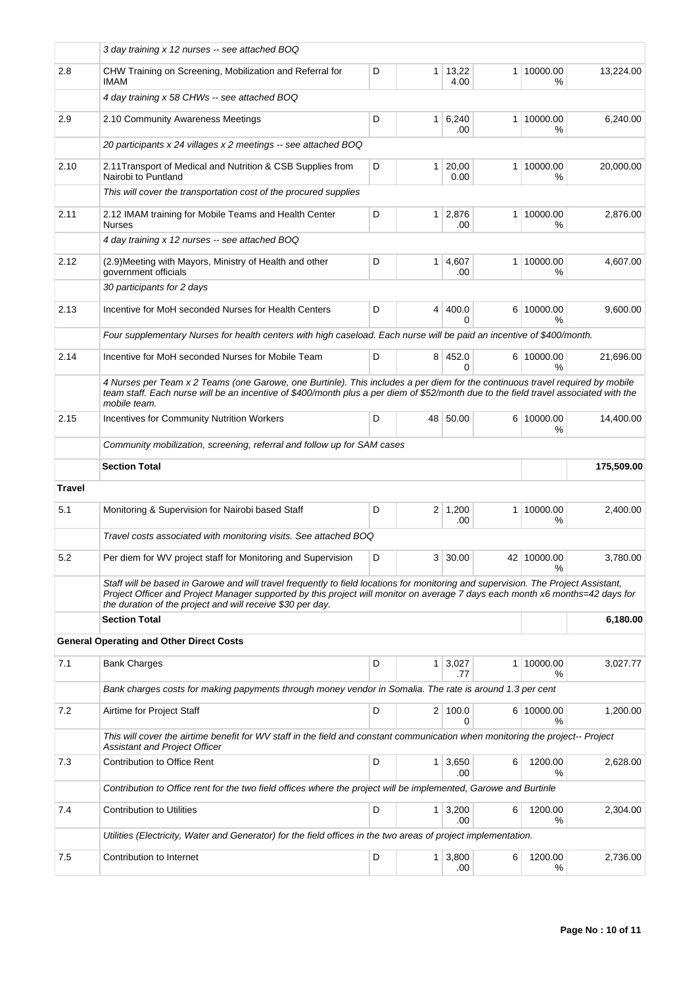|               | 3 day training x 12 nurses -- see attached BOQ                                                                                                                                                                                                                                        |   |                |                        |   |                    |            |
|---------------|---------------------------------------------------------------------------------------------------------------------------------------------------------------------------------------------------------------------------------------------------------------------------------------|---|----------------|------------------------|---|--------------------|------------|
| 2.8           | CHW Training on Screening, Mobilization and Referral for<br>IMAM                                                                                                                                                                                                                      | D |                | $1 \mid 13,22$<br>4.00 |   | 1 10000.00<br>%    | 13,224.00  |
|               | 4 day training x 58 CHWs -- see attached BOQ                                                                                                                                                                                                                                          |   |                |                        |   |                    |            |
| 2.9           | 2.10 Community Awareness Meetings                                                                                                                                                                                                                                                     | D | 1 <sup>1</sup> | 6,240<br>.00           |   | 1 10000.00<br>%    | 6,240.00   |
|               | 20 participants x 24 villages x 2 meetings -- see attached BOQ                                                                                                                                                                                                                        |   |                |                        |   |                    |            |
| 2.10          | 2.11 Transport of Medical and Nutrition & CSB Supplies from<br>Nairobi to Puntland                                                                                                                                                                                                    | D | 1              | 20,00<br>0.00          |   | 1 10000.00<br>℅    | 20.000.00  |
|               | This will cover the transportation cost of the procured supplies                                                                                                                                                                                                                      |   |                |                        |   |                    |            |
| 2.11          | 2.12 IMAM training for Mobile Teams and Health Center<br><b>Nurses</b>                                                                                                                                                                                                                | D | $\mathbf{1}$   | 2,876<br>.00           |   | 1 10000.00<br>℅    | 2,876.00   |
|               | 4 day training x 12 nurses -- see attached BOQ                                                                                                                                                                                                                                        |   |                |                        |   |                    |            |
| 2.12          | (2.9) Meeting with Mayors, Ministry of Health and other<br>government officials                                                                                                                                                                                                       | D |                | 1   4,607<br>.00       |   | 1 10000.00<br>℅    | 4,607.00   |
|               | 30 participants for 2 days                                                                                                                                                                                                                                                            |   |                |                        |   |                    |            |
| 2.13          | Incentive for MoH seconded Nurses for Health Centers                                                                                                                                                                                                                                  | D | 4              | 400.0<br>$\Omega$      |   | 6 10000.00<br>$\%$ | 9,600.00   |
|               | Four supplementary Nurses for health centers with high caseload. Each nurse will be paid an incentive of \$400/month.                                                                                                                                                                 |   |                |                        |   |                    |            |
| 2.14          | Incentive for MoH seconded Nurses for Mobile Team                                                                                                                                                                                                                                     | D |                | 8 452.0<br>$\Omega$    |   | 6 10000.00<br>$\%$ | 21,696.00  |
|               | 4 Nurses per Team x 2 Teams (one Garowe, one Burtinle). This includes a per diem for the continuous travel required by mobile<br>team staff. Each nurse will be an incentive of \$400/month plus a per diem of \$52/month due to the field travel associated with the<br>mobile team. |   |                |                        |   |                    |            |
| 2.15          | <b>Incentives for Community Nutrition Workers</b>                                                                                                                                                                                                                                     | D | 48             | 50.00                  |   | 6 10000.00<br>%    | 14,400.00  |
|               | Community mobilization, screening, referral and follow up for SAM cases                                                                                                                                                                                                               |   |                |                        |   |                    |            |
|               | <b>Section Total</b>                                                                                                                                                                                                                                                                  |   |                |                        |   |                    | 175,509.00 |
| <b>Travel</b> |                                                                                                                                                                                                                                                                                       |   |                |                        |   |                    |            |
|               |                                                                                                                                                                                                                                                                                       |   |                |                        |   |                    |            |
| 5.1           | Monitoring & Supervision for Nairobi based Staff                                                                                                                                                                                                                                      | D |                | $2 \mid 1,200$<br>.00  |   | 1 10000.00<br>℅    | 2,400.00   |
|               | Travel costs associated with monitoring visits. See attached BOQ                                                                                                                                                                                                                      |   |                |                        |   |                    |            |
| 5.2           | Per diem for WV project staff for Monitoring and Supervision                                                                                                                                                                                                                          | D | 3 <sup>1</sup> | 30.00                  |   | 42 10000.00        | 3,780.00   |
|               | Staff will be based in Garowe and will travel frequently to field locations for monitoring and supervision. The Project Assistant,<br>Project Officer and Project Manager supported by this project will monitor on average 7 days each month x6 months=42 days for                   |   |                |                        |   | %                  |            |
|               | the duration of the project and will receive \$30 per day.<br><b>Section Total</b>                                                                                                                                                                                                    |   |                |                        |   |                    | 6,180.00   |
|               |                                                                                                                                                                                                                                                                                       |   |                |                        |   |                    |            |
|               | <b>General Operating and Other Direct Costs</b>                                                                                                                                                                                                                                       |   |                |                        |   |                    |            |
| 7.1           | <b>Bank Charges</b>                                                                                                                                                                                                                                                                   | D | 1 <sup>1</sup> | 3,027<br>.77           |   | 1 10000.00<br>℅    | 3,027.77   |
|               | Bank charges costs for making papyments through money vendor in Somalia. The rate is around 1.3 per cent                                                                                                                                                                              |   |                |                        |   |                    |            |
| 7.2           | Airtime for Project Staff                                                                                                                                                                                                                                                             | D |                | 2 100.0<br>$\Omega$    |   | 6 10000.00<br>$\%$ | 1,200.00   |
|               | This will cover the airtime benefit for WV staff in the field and constant communication when monitoring the project-- Project<br><b>Assistant and Project Officer</b>                                                                                                                |   |                |                        |   |                    |            |
| 7.3           | Contribution to Office Rent                                                                                                                                                                                                                                                           | D | 1 <sup>1</sup> | 3,650<br>.00           | 6 | 1200.00<br>℅       | 2,628.00   |
|               | Contribution to Office rent for the two field offices where the project will be implemented, Garowe and Burtinle                                                                                                                                                                      |   |                |                        |   |                    |            |
| 7.4           | <b>Contribution to Utilities</b>                                                                                                                                                                                                                                                      | D | 1 <sup>1</sup> | 3,200<br>.00           | 6 | 1200.00<br>℅       | 2,304.00   |
|               | Utilities (Electricity, Water and Generator) for the field offices in the two areas of project implementation.                                                                                                                                                                        |   |                |                        |   |                    |            |